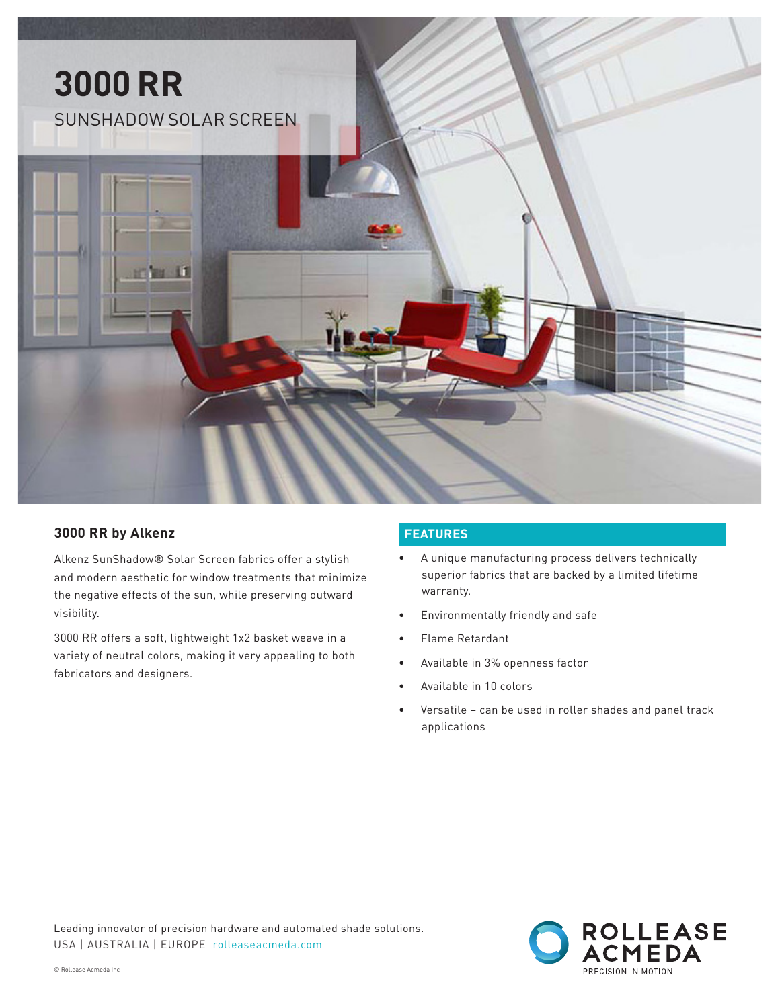

### **3000 RR by Alkenz**

Alkenz SunShadow® Solar Screen fabrics offer a stylish and modern aesthetic for window treatments that minimize the negative effects of the sun, while preserving outward visibility.

3000 RR offers a soft, lightweight 1x2 basket weave in a variety of neutral colors, making it very appealing to both fabricators and designers.

## **FEATURES**

- A unique manufacturing process delivers technically superior fabrics that are backed by a limited lifetime warranty.
- Environmentally friendly and safe
- Flame Retardant
- Available in 3% openness factor
- Available in 10 colors
- Versatile can be used in roller shades and panel track applications



Leading innovator of precision hardware and automated shade solutions. USA | AUSTRALIA | EUROPE rolleaseacmeda.com